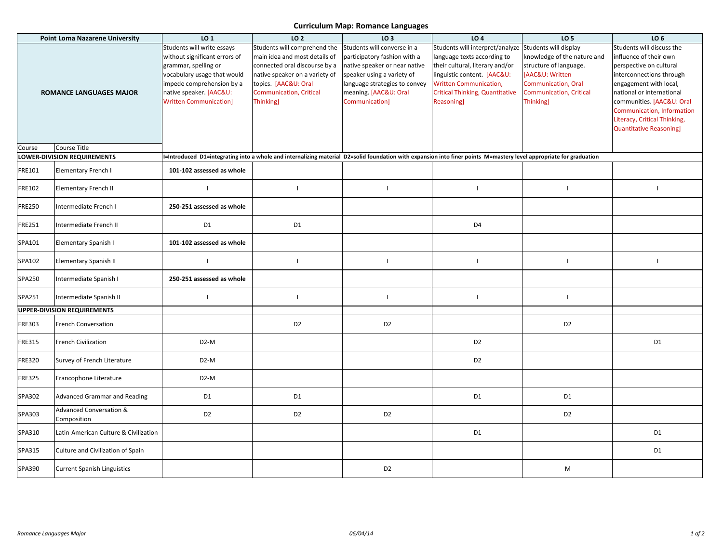## **Curriculum Map: Romance Languages**

| <b>Point Loma Nazarene University</b> |                                                   | LO <sub>1</sub>                                                                                                                                                                                             | LO <sub>2</sub>                                                                                                                                                                                               | LO <sub>3</sub>                                                                                                                                                                                              | LO <sub>4</sub>                                                                                                                                                                                                                 | LO <sub>5</sub>                                                                                                                                                                       | LO <sub>6</sub>                                                                                                                                                                                                                                                                               |
|---------------------------------------|---------------------------------------------------|-------------------------------------------------------------------------------------------------------------------------------------------------------------------------------------------------------------|---------------------------------------------------------------------------------------------------------------------------------------------------------------------------------------------------------------|--------------------------------------------------------------------------------------------------------------------------------------------------------------------------------------------------------------|---------------------------------------------------------------------------------------------------------------------------------------------------------------------------------------------------------------------------------|---------------------------------------------------------------------------------------------------------------------------------------------------------------------------------------|-----------------------------------------------------------------------------------------------------------------------------------------------------------------------------------------------------------------------------------------------------------------------------------------------|
| <b>ROMANCE LANGUAGES MAJOR</b>        |                                                   | Students will write essays<br>without significant errors of<br>grammar, spelling or<br>vocabulary usage that would<br>impede comprehension by a<br>native speaker. [AAC&U:<br><b>Written Communication]</b> | Students will comprehend the<br>main idea and most details of<br>connected oral discourse by a<br>native speaker on a variety of<br>topics. [AAC&U: Oral<br><b>Communication, Critical</b><br><b>Thinking</b> | Students will converse in a<br>participatory fashion with a<br>native speaker or near native<br>speaker using a variety of<br>language strategies to convey<br>meaning. [AAC&U: Oral<br><b>Communication</b> | Students will interpret/analyze<br>language texts according to<br>their cultural, literary and/or<br>linguistic content. [AAC&U:<br><b>Written Communication,</b><br><b>Critical Thinking, Quantitative</b><br><b>Reasoning</b> | Students will display<br>knowledge of the nature and<br>structure of language.<br>[AAC&U: Written<br><b>Communication</b> , Oral<br><b>Communication, Critical</b><br><b>Thinking</b> | Students will discuss the<br>influence of their own<br>perspective on cultural<br>interconnections through<br>engagement with local,<br>national or international<br>communities. [AAC&U: Oral<br>Communication, Information<br>Literacy, Critical Thinking,<br><b>Quantitative Reasoning</b> |
| Course                                | Course Title                                      |                                                                                                                                                                                                             |                                                                                                                                                                                                               |                                                                                                                                                                                                              |                                                                                                                                                                                                                                 |                                                                                                                                                                                       |                                                                                                                                                                                                                                                                                               |
|                                       | OWER-DIVISION REQUIREMENTS                        |                                                                                                                                                                                                             |                                                                                                                                                                                                               |                                                                                                                                                                                                              | I=Introduced D1=integrating into a whole and internalizing material D2=solid foundation with expansion into finer points M=mastery level appropriate for graduation                                                             |                                                                                                                                                                                       |                                                                                                                                                                                                                                                                                               |
| FRE101                                | Elementary French I                               | 101-102 assessed as whole                                                                                                                                                                                   |                                                                                                                                                                                                               |                                                                                                                                                                                                              |                                                                                                                                                                                                                                 |                                                                                                                                                                                       |                                                                                                                                                                                                                                                                                               |
| FRE102                                | Elementary French II                              | $\mathbf{I}$                                                                                                                                                                                                | $\mathbf{I}$                                                                                                                                                                                                  | $\mathbf{I}$                                                                                                                                                                                                 | $\mathbf{I}$                                                                                                                                                                                                                    | $\overline{\phantom{a}}$                                                                                                                                                              |                                                                                                                                                                                                                                                                                               |
| <b>FRE250</b>                         | Intermediate French I                             | 250-251 assessed as whole                                                                                                                                                                                   |                                                                                                                                                                                                               |                                                                                                                                                                                                              |                                                                                                                                                                                                                                 |                                                                                                                                                                                       |                                                                                                                                                                                                                                                                                               |
| <b>FRE251</b>                         | Intermediate French II                            | D <sub>1</sub>                                                                                                                                                                                              | D <sub>1</sub>                                                                                                                                                                                                |                                                                                                                                                                                                              | D <sub>4</sub>                                                                                                                                                                                                                  |                                                                                                                                                                                       |                                                                                                                                                                                                                                                                                               |
| SPA101                                | Elementary Spanish I                              | 101-102 assessed as whole                                                                                                                                                                                   |                                                                                                                                                                                                               |                                                                                                                                                                                                              |                                                                                                                                                                                                                                 |                                                                                                                                                                                       |                                                                                                                                                                                                                                                                                               |
| SPA102                                | Elementary Spanish II                             | $\mathbf{I}$                                                                                                                                                                                                | $\mathbf{I}$                                                                                                                                                                                                  | $\mathbf{I}$                                                                                                                                                                                                 | $\mathbf{I}$                                                                                                                                                                                                                    | $\mathbf{I}$                                                                                                                                                                          | $\mathbf{I}$                                                                                                                                                                                                                                                                                  |
| SPA250                                | Intermediate Spanish I                            | 250-251 assessed as whole                                                                                                                                                                                   |                                                                                                                                                                                                               |                                                                                                                                                                                                              |                                                                                                                                                                                                                                 |                                                                                                                                                                                       |                                                                                                                                                                                                                                                                                               |
| SPA251                                | Intermediate Spanish II                           | $\mathbf{I}$                                                                                                                                                                                                | $\mathbf{I}$                                                                                                                                                                                                  | $\mathbf{I}$                                                                                                                                                                                                 | $\mathbf{I}$                                                                                                                                                                                                                    | $\mathbf{I}$                                                                                                                                                                          |                                                                                                                                                                                                                                                                                               |
|                                       | <b>UPPER-DIVISION REQUIREMENTS</b>                |                                                                                                                                                                                                             |                                                                                                                                                                                                               |                                                                                                                                                                                                              |                                                                                                                                                                                                                                 |                                                                                                                                                                                       |                                                                                                                                                                                                                                                                                               |
| <b>FRE303</b>                         | French Conversation                               |                                                                                                                                                                                                             | D <sub>2</sub>                                                                                                                                                                                                | D <sub>2</sub>                                                                                                                                                                                               |                                                                                                                                                                                                                                 | D <sub>2</sub>                                                                                                                                                                        |                                                                                                                                                                                                                                                                                               |
| <b>FRE315</b>                         | <b>French Civilization</b>                        | D <sub>2</sub> -M                                                                                                                                                                                           |                                                                                                                                                                                                               |                                                                                                                                                                                                              | D <sub>2</sub>                                                                                                                                                                                                                  |                                                                                                                                                                                       | D <sub>1</sub>                                                                                                                                                                                                                                                                                |
| FRE320                                | Survey of French Literature                       | D <sub>2</sub> -M                                                                                                                                                                                           |                                                                                                                                                                                                               |                                                                                                                                                                                                              | D <sub>2</sub>                                                                                                                                                                                                                  |                                                                                                                                                                                       |                                                                                                                                                                                                                                                                                               |
| FRE325                                | Francophone Literature                            | D <sub>2</sub> -M                                                                                                                                                                                           |                                                                                                                                                                                                               |                                                                                                                                                                                                              |                                                                                                                                                                                                                                 |                                                                                                                                                                                       |                                                                                                                                                                                                                                                                                               |
| SPA302                                | <b>Advanced Grammar and Reading</b>               | D <sub>1</sub>                                                                                                                                                                                              | D <sub>1</sub>                                                                                                                                                                                                |                                                                                                                                                                                                              | D <sub>1</sub>                                                                                                                                                                                                                  | D1                                                                                                                                                                                    |                                                                                                                                                                                                                                                                                               |
| SPA303                                | <b>Advanced Conversation &amp;</b><br>Composition | D <sub>2</sub>                                                                                                                                                                                              | D <sub>2</sub>                                                                                                                                                                                                | D <sub>2</sub>                                                                                                                                                                                               |                                                                                                                                                                                                                                 | D <sub>2</sub>                                                                                                                                                                        |                                                                                                                                                                                                                                                                                               |
| SPA310                                | Latin-American Culture & Civilization             |                                                                                                                                                                                                             |                                                                                                                                                                                                               |                                                                                                                                                                                                              | D <sub>1</sub>                                                                                                                                                                                                                  |                                                                                                                                                                                       | D1                                                                                                                                                                                                                                                                                            |
| SPA315                                | Culture and Civilization of Spain                 |                                                                                                                                                                                                             |                                                                                                                                                                                                               |                                                                                                                                                                                                              |                                                                                                                                                                                                                                 |                                                                                                                                                                                       | D <sub>1</sub>                                                                                                                                                                                                                                                                                |
| SPA390                                | <b>Current Spanish Linguistics</b>                |                                                                                                                                                                                                             |                                                                                                                                                                                                               | D <sub>2</sub>                                                                                                                                                                                               |                                                                                                                                                                                                                                 | M                                                                                                                                                                                     |                                                                                                                                                                                                                                                                                               |